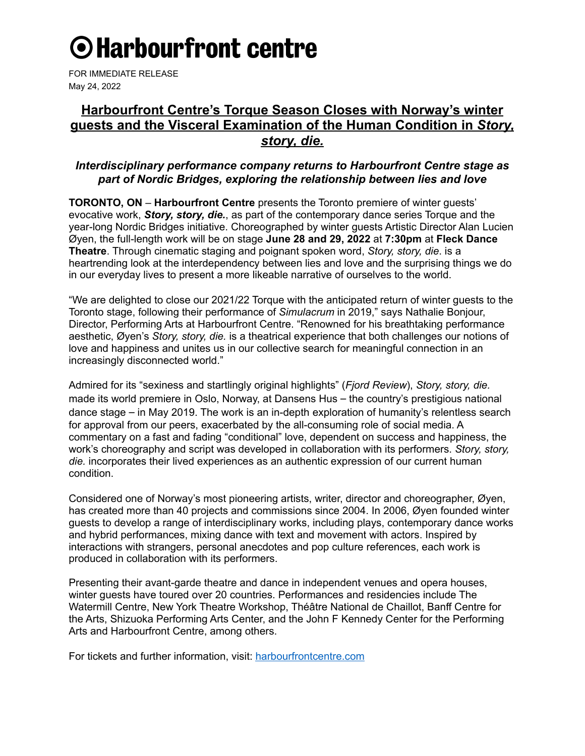# **O** Harbourfront centre

FOR IMMEDIATE RELEASE May 24, 2022

## **Harbourfront Centre's Torque Season Closes with Norway's winter guests and the Visceral Examination of the Human Condition in** *Story, story, die.*

## *Interdisciplinary performance company returns to Harbourfront Centre stage as part of Nordic Bridges, exploring the relationship between lies and love*

**TORONTO, ON** – **Harbourfront Centre** presents the Toronto premiere of winter guests' evocative work, *Story, story, die.*, as part of the contemporary dance series Torque and the year-long Nordic Bridges initiative. Choreographed by winter guests Artistic Director Alan Lucien Øyen, the full-length work will be on stage **June 28 and 29, 2022** at **7:30pm** at **Fleck Dance Theatre**. Through cinematic staging and poignant spoken word, *Story, story, die*. is a heartrending look at the interdependency between lies and love and the surprising things we do in our everyday lives to present a more likeable narrative of ourselves to the world.

"We are delighted to close our 2021/22 Torque with the anticipated return of winter guests to the Toronto stage, following their performance of *Simulacrum* in 2019," says Nathalie Bonjour, Director, Performing Arts at Harbourfront Centre. "Renowned for his breathtaking performance aesthetic, Øyen's *Story, story, die.* is a theatrical experience that both challenges our notions of love and happiness and unites us in our collective search for meaningful connection in an increasingly disconnected world."

Admired for its "sexiness and startlingly original highlights" (*Fjord Review*), *Story, story, die.* made its world premiere in Oslo, Norway, at Dansens Hus – the country's prestigious national dance stage – in May 2019. The work is an in-depth exploration of humanity's relentless search for approval from our peers, exacerbated by the all-consuming role of social media. A commentary on a fast and fading "conditional" love, dependent on success and happiness, the work's choreography and script was developed in collaboration with its performers. *Story, story, die.* incorporates their lived experiences as an authentic expression of our current human condition.

Considered one of Norway's most pioneering artists, writer, director and choreographer, Øyen, has created more than 40 projects and commissions since 2004. In 2006, Øyen founded winter guests to develop a range of interdisciplinary works, including plays, contemporary dance works and hybrid performances, mixing dance with text and movement with actors. Inspired by interactions with strangers, personal anecdotes and pop culture references, each work is produced in collaboration with its performers.

Presenting their avant-garde theatre and dance in independent venues and opera houses, winter guests have toured over 20 countries. Performances and residencies include The Watermill Centre, New York Theatre Workshop, Théâtre National de Chaillot, Banff Centre for the Arts, Shizuoka Performing Arts Center, and the John F Kennedy Center for the Performing Arts and Harbourfront Centre, among others.

For tickets and further information, visit: [harbourfrontcentre.com](https://harbourfrontcentre.com/event/story-story-die/)